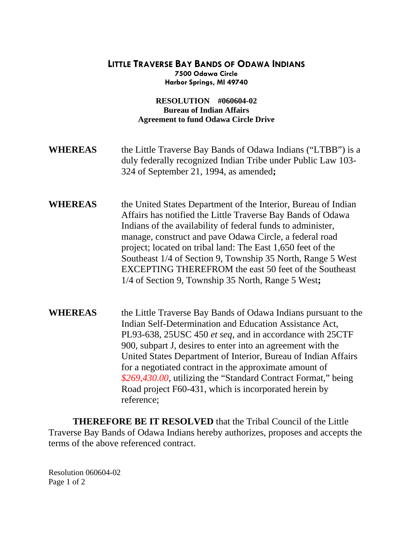## **LITTLE TRAVERSE BAY BANDS OF ODAWA INDIANS 7500 Odawa Circle Harbor Springs, MI 49740**

## **RESOLUTION #060604-02 Bureau of Indian Affairs Agreement to fund Odawa Circle Drive**

- **WHEREAS** the Little Traverse Bay Bands of Odawa Indians ("LTBB") is a duly federally recognized Indian Tribe under Public Law 103- 324 of September 21, 1994, as amended**;**
- **WHEREAS** the United States Department of the Interior, Bureau of Indian Affairs has notified the Little Traverse Bay Bands of Odawa Indians of the availability of federal funds to administer, manage, construct and pave Odawa Circle, a federal road project; located on tribal land: The East 1,650 feet of the Southeast 1/4 of Section 9, Township 35 North, Range 5 West EXCEPTING THEREFROM the east 50 feet of the Southeast 1/4 of Section 9, Township 35 North, Range 5 West**;**
- **WHEREAS** the Little Traverse Bay Bands of Odawa Indians pursuant to the Indian Self-Determination and Education Assistance Act, PL93-638, 25USC 450 *et seq*, and in accordance with 25CTF 900, subpart J, desires to enter into an agreement with the United States Department of Interior, Bureau of Indian Affairs for a negotiated contract in the approximate amount of *\$269,430.00*, utilizing the "Standard Contract Format," being Road project F60-431, which is incorporated herein by reference;

 **THEREFORE BE IT RESOLVED** that the Tribal Council of the Little Traverse Bay Bands of Odawa Indians hereby authorizes, proposes and accepts the terms of the above referenced contract.

Resolution 060604-02 Page 1 of 2